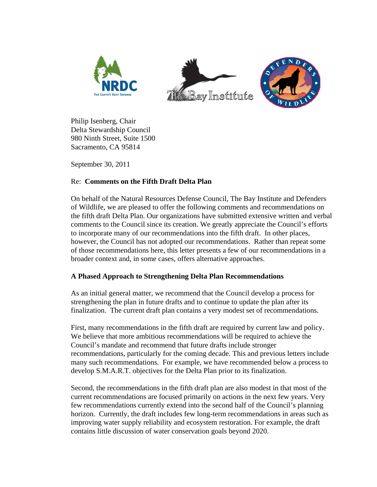





Philip Isenberg, Chair Delta Stewardship Council 980 Ninth Street, Suite 1500 Sacramento, CA 95814

September 30, 2011

## Re: **Comments on the Fifth Draft Delta Plan**

On behalf of the Natural Resources Defense Council, The Bay Institute and Defenders of Wildlife, we are pleased to offer the following comments and recommendations on the fifth draft Delta Plan. Our organizations have submitted extensive written and verbal comments to the Council since its creation. We greatly appreciate the Council's efforts to incorporate many of our recommendations into the fifth draft. In other places, however, the Council has not adopted our recommendations. Rather than repeat some of those recommendations here, this letter presents a few of our recommendations in a broader context and, in some cases, offers alternative approaches.

# **A Phased Approach to Strengthening Delta Plan Recommendations**

As an initial general matter, we recommend that the Council develop a process for strengthening the plan in future drafts and to continue to update the plan after its finalization. The current draft plan contains a very modest set of recommendations.

First, many recommendations in the fifth draft are required by current law and policy. We believe that more ambitious recommendations will be required to achieve the Council's mandate and recommend that future drafts include stronger recommendations, particularly for the coming decade. This and previous letters include many such recommendations. For example, we have recommended below a process to develop S.M.A.R.T. objectives for the Delta Plan prior to its finalization.

Second, the recommendations in the fifth draft plan are also modest in that most of the current recommendations are focused primarily on actions in the next few years. Very few recommendations currently extend into the second half of the Council's planning horizon. Currently, the draft includes few long-term recommendations in areas such as improving water supply reliability and ecosystem restoration. For example, the draft contains little discussion of water conservation goals beyond 2020.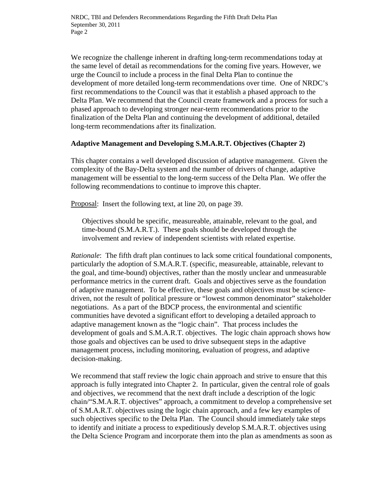We recognize the challenge inherent in drafting long-term recommendations today at the same level of detail as recommendations for the coming five years. However, we urge the Council to include a process in the final Delta Plan to continue the development of more detailed long-term recommendations over time. One of NRDC's first recommendations to the Council was that it establish a phased approach to the Delta Plan. We recommend that the Council create framework and a process for such a phased approach to developing stronger near-term recommendations prior to the finalization of the Delta Plan and continuing the development of additional, detailed long-term recommendations after its finalization.

### **Adaptive Management and Developing S.M.A.R.T. Objectives (Chapter 2)**

This chapter contains a well developed discussion of adaptive management. Given the complexity of the Bay-Delta system and the number of drivers of change, adaptive management will be essential to the long-term success of the Delta Plan. We offer the following recommendations to continue to improve this chapter.

Proposal: Insert the following text, at line 20, on page 39.

Objectives should be specific, measureable, attainable, relevant to the goal, and time-bound (S.M.A.R.T.). These goals should be developed through the involvement and review of independent scientists with related expertise.

*Rationale*: The fifth draft plan continues to lack some critical foundational components, particularly the adoption of S.M.A.R.T. (specific, measureable, attainable, relevant to the goal, and time-bound) objectives, rather than the mostly unclear and unmeasurable performance metrics in the current draft. Goals and objectives serve as the foundation of adaptive management. To be effective, these goals and objectives must be sciencedriven, not the result of political pressure or "lowest common denominator" stakeholder negotiations. As a part of the BDCP process, the environmental and scientific communities have devoted a significant effort to developing a detailed approach to adaptive management known as the "logic chain". That process includes the development of goals and S.M.A.R.T. objectives. The logic chain approach shows how those goals and objectives can be used to drive subsequent steps in the adaptive management process, including monitoring, evaluation of progress, and adaptive decision-making.

We recommend that staff review the logic chain approach and strive to ensure that this approach is fully integrated into Chapter 2. In particular, given the central role of goals and objectives, we recommend that the next draft include a description of the logic chain/"S.M.A.R.T. objectives" approach, a commitment to develop a comprehensive set of S.M.A.R.T. objectives using the logic chain approach, and a few key examples of such objectives specific to the Delta Plan. The Council should immediately take steps to identify and initiate a process to expeditiously develop S.M.A.R.T. objectives using the Delta Science Program and incorporate them into the plan as amendments as soon as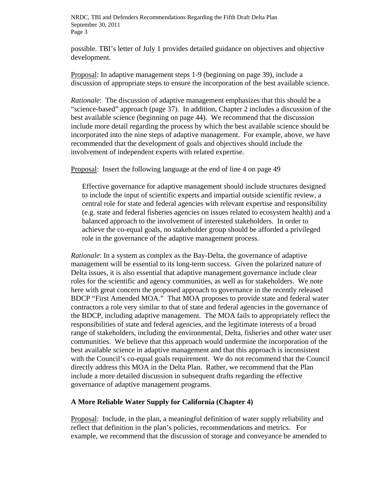possible. TBI's letter of July 1 provides detailed guidance on objectives and objective development.

Proposal: In adaptive management steps 1-9 (beginning on page 39), include a discussion of appropriate steps to ensure the incorporation of the best available science.

*Rationale*: The discussion of adaptive management emphasizes that this should be a "science-based" approach (page 37). In addition, Chapter 2 includes a discussion of the best available science (beginning on page 44). We recommend that the discussion include more detail regarding the process by which the best available science should be incorporated into the nine steps of adaptive management. For example, above, we have recommended that the development of goals and objectives should include the involvement of independent experts with related expertise.

Proposal: Insert the following language at the end of line 4 on page 49

Effective governance for adaptive management should include structures designed to include the input of scientific experts and impartial outside scientific review, a central role for state and federal agencies with relevant expertise and responsibility (e.g. state and federal fisheries agencies on issues related to ecosystem health) and a balanced approach to the involvement of interested stakeholders. In order to achieve the co-equal goals, no stakeholder group should be afforded a privileged role in the governance of the adaptive management process.

*Rationale*: In a system as complex as the Bay-Delta, the governance of adaptive management will be essential to its long-term success. Given the polarized nature of Delta issues, it is also essential that adaptive management governance include clear roles for the scientific and agency communities, as well as for stakeholders. We note here with great concern the proposed approach to governance in the recently released BDCP "First Amended MOA." That MOA proposes to provide state and federal water contractors a role very similar to that of state and federal agencies in the governance of the BDCP, including adaptive management. The MOA fails to appropriately reflect the responsibilities of state and federal agencies, and the legitimate interests of a broad range of stakeholders, including the environmental, Delta, fisheries and other water user communities. We believe that this approach would undermine the incorporation of the best available science in adaptive management and that this approach is inconsistent with the Council's co-equal goals requirement. We do not recommend that the Council directly address this MOA in the Delta Plan. Rather, we recommend that the Plan include a more detailed discussion in subsequent drafts regarding the effective governance of adaptive management programs.

#### **A More Reliable Water Supply for California (Chapter 4)**

Proposal: Include, in the plan, a meaningful definition of water supply reliability and reflect that definition in the plan's policies, recommendations and metrics. For example, we recommend that the discussion of storage and conveyance be amended to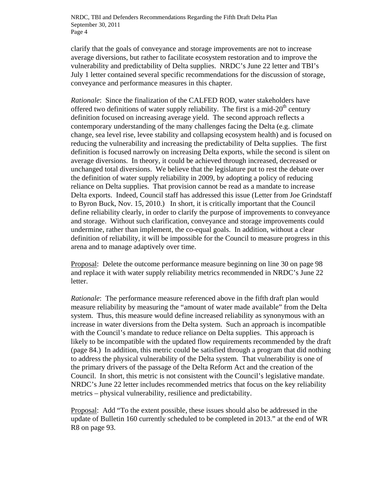clarify that the goals of conveyance and storage improvements are not to increase average diversions, but rather to facilitate ecosystem restoration and to improve the vulnerability and predictability of Delta supplies. NRDC's June 22 letter and TBI's July 1 letter contained several specific recommendations for the discussion of storage, conveyance and performance measures in this chapter.

*Rationale*: Since the finalization of the CALFED ROD, water stakeholders have offered two definitions of water supply reliability. The first is a mid- $20<sup>th</sup>$  century definition focused on increasing average yield. The second approach reflects a contemporary understanding of the many challenges facing the Delta (e.g. climate change, sea level rise, levee stability and collapsing ecosystem health) and is focused on reducing the vulnerability and increasing the predictability of Delta supplies. The first definition is focused narrowly on increasing Delta exports, while the second is silent on average diversions. In theory, it could be achieved through increased, decreased or unchanged total diversions. We believe that the legislature put to rest the debate over the definition of water supply reliability in 2009, by adopting a policy of reducing reliance on Delta supplies. That provision cannot be read as a mandate to increase Delta exports. Indeed, Council staff has addressed this issue (Letter from Joe Grindstaff to Byron Buck, Nov. 15, 2010.) In short, it is critically important that the Council define reliability clearly, in order to clarify the purpose of improvements to conveyance and storage. Without such clarification, conveyance and storage improvements could undermine, rather than implement, the co-equal goals. In addition, without a clear definition of reliability, it will be impossible for the Council to measure progress in this arena and to manage adaptively over time.

Proposal: Delete the outcome performance measure beginning on line 30 on page 98 and replace it with water supply reliability metrics recommended in NRDC's June 22 letter.

*Rationale*: The performance measure referenced above in the fifth draft plan would measure reliability by measuring the "amount of water made available" from the Delta system. Thus, this measure would define increased reliability as synonymous with an increase in water diversions from the Delta system. Such an approach is incompatible with the Council's mandate to reduce reliance on Delta supplies. This approach is likely to be incompatible with the updated flow requirements recommended by the draft (page 84.) In addition, this metric could be satisfied through a program that did nothing to address the physical vulnerability of the Delta system. That vulnerability is one of the primary drivers of the passage of the Delta Reform Act and the creation of the Council. In short, this metric is not consistent with the Council's legislative mandate. NRDC's June 22 letter includes recommended metrics that focus on the key reliability metrics – physical vulnerability, resilience and predictability.

Proposal: Add "To the extent possible, these issues should also be addressed in the update of Bulletin 160 currently scheduled to be completed in 2013." at the end of WR R8 on page 93.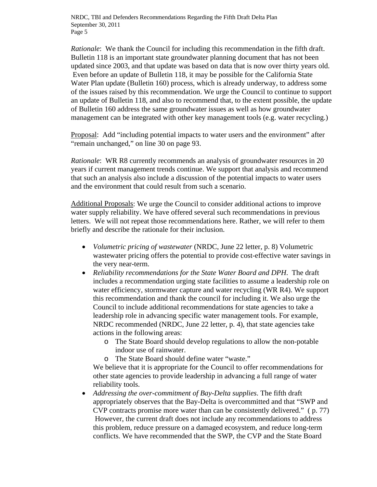*Rationale*: We thank the Council for including this recommendation in the fifth draft. Bulletin 118 is an important state groundwater planning document that has not been updated since 2003, and that update was based on data that is now over thirty years old. Even before an update of Bulletin 118, it may be possible for the California State Water Plan update (Bulletin 160) process, which is already underway, to address some of the issues raised by this recommendation. We urge the Council to continue to support an update of Bulletin 118, and also to recommend that, to the extent possible, the update of Bulletin 160 address the same groundwater issues as well as how groundwater management can be integrated with other key management tools (e.g. water recycling.)

Proposal: Add "including potential impacts to water users and the environment" after "remain unchanged," on line 30 on page 93.

*Rationale*: WR R8 currently recommends an analysis of groundwater resources in 20 years if current management trends continue. We support that analysis and recommend that such an analysis also include a discussion of the potential impacts to water users and the environment that could result from such a scenario.

Additional Proposals: We urge the Council to consider additional actions to improve water supply reliability. We have offered several such recommendations in previous letters. We will not repeat those recommendations here. Rather, we will refer to them briefly and describe the rationale for their inclusion.

- *Volumetric pricing of wastewater* (NRDC, June 22 letter, p. 8) Volumetric wastewater pricing offers the potential to provide cost-effective water savings in the very near-term.
- *Reliability recommendations for the State Water Board and DPH*. The draft includes a recommendation urging state facilities to assume a leadership role on water efficiency, stormwater capture and water recycling (WR R4). We support this recommendation and thank the council for including it. We also urge the Council to include additional recommendations for state agencies to take a leadership role in advancing specific water management tools. For example, NRDC recommended (NRDC, June 22 letter, p. 4), that state agencies take actions in the following areas:
	- o The State Board should develop regulations to allow the non-potable indoor use of rainwater.
	- o The State Board should define water "waste."

We believe that it is appropriate for the Council to offer recommendations for other state agencies to provide leadership in advancing a full range of water reliability tools.

 *Addressing the over-commitment of Bay-Delta supplies*. The fifth draft appropriately observes that the Bay-Delta is overcommitted and that "SWP and CVP contracts promise more water than can be consistently delivered." ( p. 77) However, the current draft does not include any recommendations to address this problem, reduce pressure on a damaged ecosystem, and reduce long-term conflicts. We have recommended that the SWP, the CVP and the State Board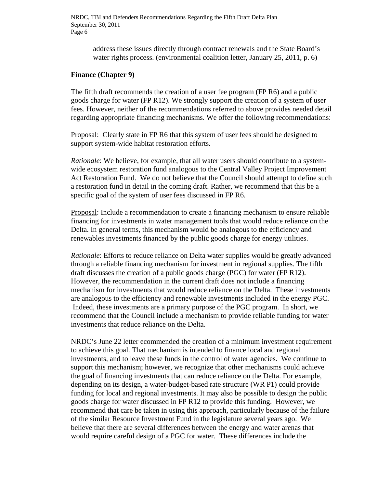address these issues directly through contract renewals and the State Board's water rights process. (environmental coalition letter, January 25, 2011, p. 6)

#### **Finance (Chapter 9)**

The fifth draft recommends the creation of a user fee program (FP R6) and a public goods charge for water (FP R12). We strongly support the creation of a system of user fees. However, neither of the recommendations referred to above provides needed detail regarding appropriate financing mechanisms. We offer the following recommendations:

Proposal: Clearly state in FP R6 that this system of user fees should be designed to support system-wide habitat restoration efforts.

*Rationale*: We believe, for example, that all water users should contribute to a systemwide ecosystem restoration fund analogous to the Central Valley Project Improvement Act Restoration Fund. We do not believe that the Council should attempt to define such a restoration fund in detail in the coming draft. Rather, we recommend that this be a specific goal of the system of user fees discussed in FP R6.

Proposal: Include a recommendation to create a financing mechanism to ensure reliable financing for investments in water management tools that would reduce reliance on the Delta. In general terms, this mechanism would be analogous to the efficiency and renewables investments financed by the public goods charge for energy utilities.

*Rationale*: Efforts to reduce reliance on Delta water supplies would be greatly advanced through a reliable financing mechanism for investment in regional supplies. The fifth draft discusses the creation of a public goods charge (PGC) for water (FP R12). However, the recommendation in the current draft does not include a financing mechanism for investments that would reduce reliance on the Delta. These investments are analogous to the efficiency and renewable investments included in the energy PGC. Indeed, these investments are a primary purpose of the PGC program. In short, we recommend that the Council include a mechanism to provide reliable funding for water investments that reduce reliance on the Delta.

NRDC's June 22 letter ecommended the creation of a minimum investment requirement to achieve this goal. That mechanism is intended to finance local and regional investments, and to leave these funds in the control of water agencies. We continue to support this mechanism; however, we recognize that other mechanisms could achieve the goal of financing investments that can reduce reliance on the Delta. For example, depending on its design, a water-budget-based rate structure (WR P1) could provide funding for local and regional investments. It may also be possible to design the public goods charge for water discussed in FP R12 to provide this funding. However, we recommend that care be taken in using this approach, particularly because of the failure of the similar Resource Investment Fund in the legislature several years ago. We believe that there are several differences between the energy and water arenas that would require careful design of a PGC for water. These differences include the